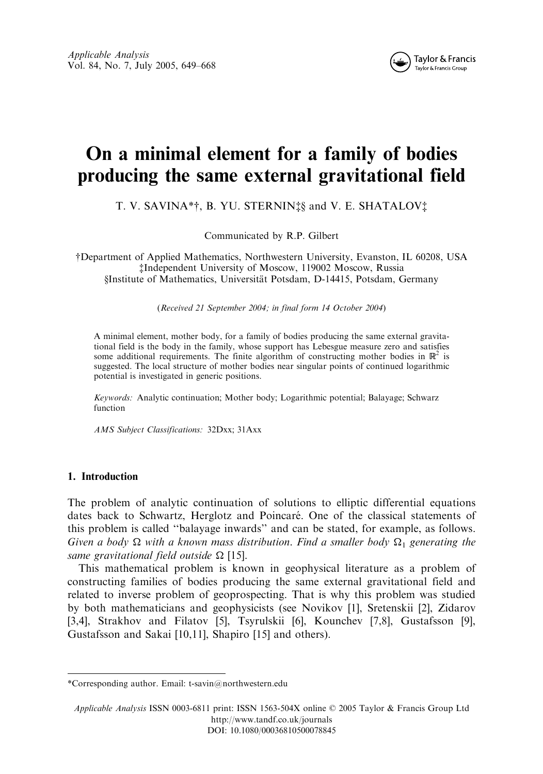

# On a minimal element for a family of bodies producing the same external gravitational field

T. V. SAVINA\*†, B. YU. STERNIN<sup>†</sup>\$ and V. E. SHATALOV<sup>†</sup>

Communicated by R.P. Gilbert

yDepartment of Applied Mathematics, Northwestern University, Evanston, IL 60208, USA zIndependent University of Moscow, 119002 Moscow, Russia §Institute of Mathematics, Universität Potsdam, D-14415, Potsdam, Germany

(Received 21 September 2004; in final form 14 October 2004)

A minimal element, mother body, for a family of bodies producing the same external gravitational field is the body in the family, whose support has Lebesgue measure zero and satisfies some additional requirements. The finite algorithm of constructing mother bodies in  $\mathbb{R}^2$  is suggested. The local structure of mother bodies near singular points of continued logarithmic potential is investigated in generic positions.

Keywords: Analytic continuation; Mother body; Logarithmic potential; Balayage; Schwarz function

AMS Subject Classifications: 32Dxx; 31Axx

# 1. Introduction

The problem of analytic continuation of solutions to elliptic differential equations dates back to Schwartz, Herglotz and Poincaré. One of the classical statements of this problem is called ''balayage inwards'' and can be stated, for example, as follows. Given a body  $\Omega$  with a known mass distribution. Find a smaller body  $\Omega_1$  generating the same gravitational field outside  $\Omega$  [15].

This mathematical problem is known in geophysical literature as a problem of constructing families of bodies producing the same external gravitational field and related to inverse problem of geoprospecting. That is why this problem was studied by both mathematicians and geophysicists (see Novikov [1], Sretenskii [2], Zidarov [3,4], Strakhov and Filatov [5], Tsyrulskii [6], Kounchev [7,8], Gustafsson [9], Gustafsson and Sakai [10,11], Shapiro [15] and others).

<sup>\*</sup>Corresponding author. Email: t-savin@northwestern.edu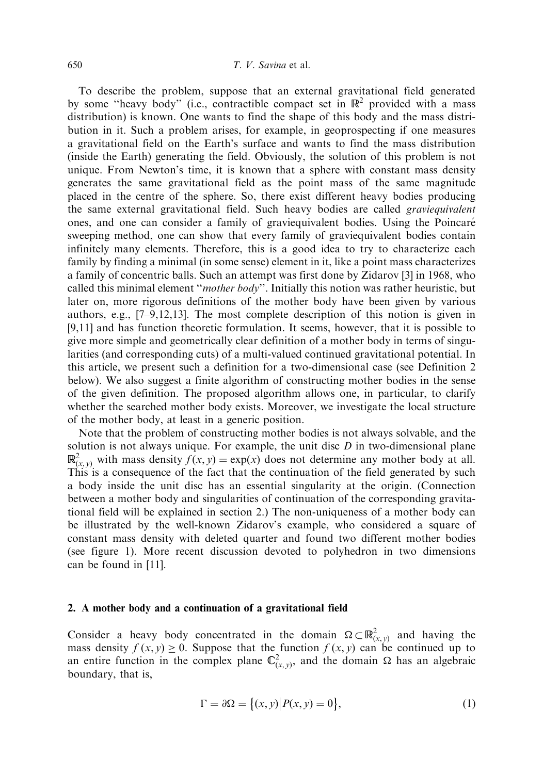To describe the problem, suppose that an external gravitational field generated by some "heavy body" (i.e., contractible compact set in  $\mathbb{R}^2$  provided with a mass distribution) is known. One wants to find the shape of this body and the mass distribution in it. Such a problem arises, for example, in geoprospecting if one measures a gravitational field on the Earth's surface and wants to find the mass distribution (inside the Earth) generating the field. Obviously, the solution of this problem is not unique. From Newton's time, it is known that a sphere with constant mass density generates the same gravitational field as the point mass of the same magnitude placed in the centre of the sphere. So, there exist different heavy bodies producing the same external gravitational field. Such heavy bodies are called graviequivalent ones, and one can consider a family of graviequivalent bodies. Using the Poincare´ sweeping method, one can show that every family of graviequivalent bodies contain infinitely many elements. Therefore, this is a good idea to try to characterize each family by finding a minimal (in some sense) element in it, like a point mass characterizes a family of concentric balls. Such an attempt was first done by Zidarov [3] in 1968, who called this minimal element "mother body". Initially this notion was rather heuristic, but later on, more rigorous definitions of the mother body have been given by various authors, e.g., [7–9,12,13]. The most complete description of this notion is given in [9,11] and has function theoretic formulation. It seems, however, that it is possible to give more simple and geometrically clear definition of a mother body in terms of singularities (and corresponding cuts) of a multi-valued continued gravitational potential. In this article, we present such a definition for a two-dimensional case (see Definition 2 below). We also suggest a finite algorithm of constructing mother bodies in the sense of the given definition. The proposed algorithm allows one, in particular, to clarify whether the searched mother body exists. Moreover, we investigate the local structure of the mother body, at least in a generic position.

Note that the problem of constructing mother bodies is not always solvable, and the solution is not always unique. For example, the unit disc  $D$  in two-dimensional plane  $\mathbb{R}^2_{(x,y)}$  with mass density  $f(x, y) = \exp(x)$  does not determine any mother body at all. This is a consequence of the fact that the continuation of the field generated by such a body inside the unit disc has an essential singularity at the origin. (Connection between a mother body and singularities of continuation of the corresponding gravitational field will be explained in section 2.) The non-uniqueness of a mother body can be illustrated by the well-known Zidarov's example, who considered a square of constant mass density with deleted quarter and found two different mother bodies (see figure 1). More recent discussion devoted to polyhedron in two dimensions can be found in [11].

#### 2. A mother body and a continuation of a gravitational field

Consider a heavy body concentrated in the domain  $\Omega \subset \mathbb{R}^2_{(x,y)}$  and having the mass density  $f(x, y) \ge 0$ . Suppose that the function  $f(x, y)$  can be continued up to an entire function in the complex plane  $\mathbb{C}^2_{(x,y)}$ , and the domain  $\Omega$  has an algebraic boundary, that is,

$$
\Gamma = \partial \Omega = \{(x, y) | P(x, y) = 0\},\tag{1}
$$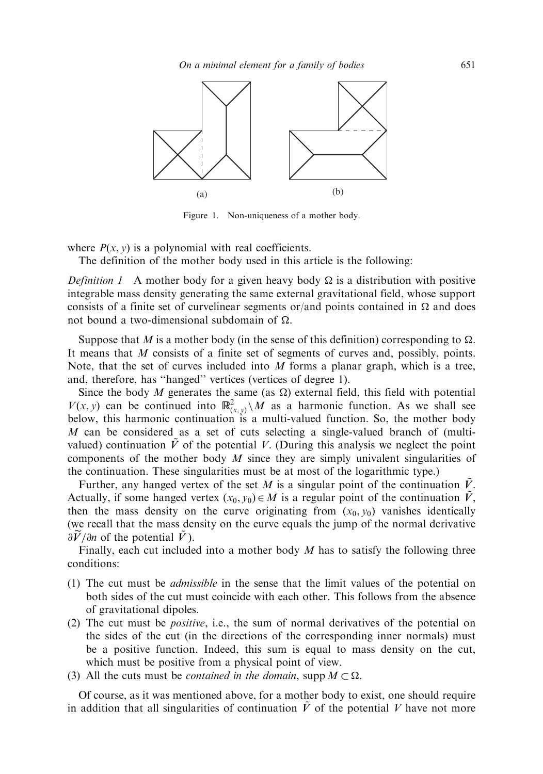

Figure 1. Non-uniqueness of a mother body.

where  $P(x, y)$  is a polynomial with real coefficients.

The definition of the mother body used in this article is the following:

*Definition 1* A mother body for a given heavy body  $\Omega$  is a distribution with positive integrable mass density generating the same external gravitational field, whose support consists of a finite set of curvelinear segments or/and points contained in  $\Omega$  and does not bound a two-dimensional subdomain of  $\Omega$ .

Suppose that M is a mother body (in the sense of this definition) corresponding to  $\Omega$ . It means that M consists of a finite set of segments of curves and, possibly, points. Note, that the set of curves included into  $M$  forms a planar graph, which is a tree, and, therefore, has ''hanged'' vertices (vertices of degree 1).

Since the body M generates the same (as  $\Omega$ ) external field, this field with potential  $V(x, y)$  can be continued into  $\mathbb{R}^2_{(x, y)}\setminus M$  as a harmonic function. As we shall see below, this harmonic continuation is a multi-valued function. So, the mother body M can be considered as a set of cuts selecting a single-valued branch of (multivalued) continuation  $\tilde{V}$  of the potential V. (During this analysis we neglect the point components of the mother body  $M$  since they are simply univalent singularities of the continuation. These singularities must be at most of the logarithmic type.)

Further, any hanged vertex of the set M is a singular point of the continuation V. Actually, if some hanged vertex  $(x_0, y_0) \in M$  is a regular point of the continuation V, then the mass density on the curve originating from  $(x_0, y_0)$  vanishes identically (we recall that the mass density on the curve equals the jump of the normal derivative  $\frac{\partial \widetilde{V}}{\partial n}$  of the potential  $\widetilde{V}$ ).

Finally, each cut included into a mother body  $M$  has to satisfy the following three conditions:

- (1) The cut must be admissible in the sense that the limit values of the potential on both sides of the cut must coincide with each other. This follows from the absence of gravitational dipoles.
- (2) The cut must be positive, i.e., the sum of normal derivatives of the potential on the sides of the cut (in the directions of the corresponding inner normals) must be a positive function. Indeed, this sum is equal to mass density on the cut, which must be positive from a physical point of view.
- (3) All the cuts must be *contained in the domain*, supp  $M \subset \Omega$ .

Of course, as it was mentioned above, for a mother body to exist, one should require in addition that all singularities of continuation  $\tilde{V}$  of the potential V have not more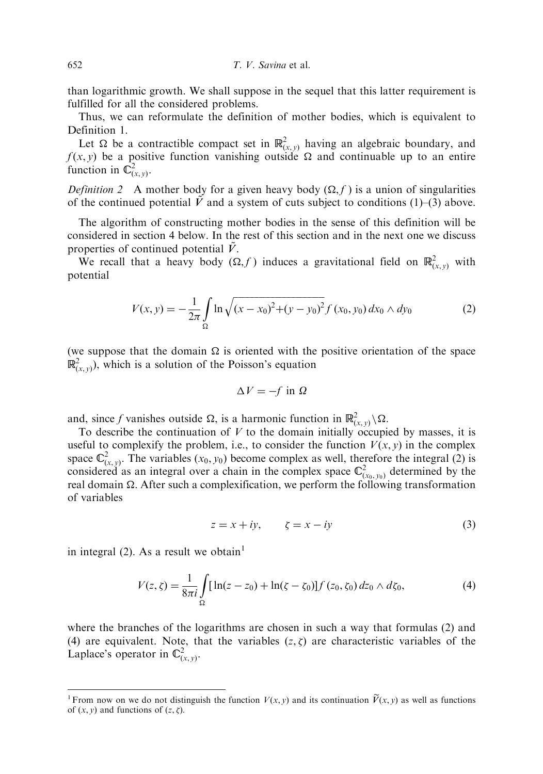than logarithmic growth. We shall suppose in the sequel that this latter requirement is fulfilled for all the considered problems.

Thus, we can reformulate the definition of mother bodies, which is equivalent to Definition 1.

Let  $\Omega$  be a contractible compact set in  $\mathbb{R}^2_{(x,y)}$  having an algebraic boundary, and  $f(x, y)$  be a positive function vanishing outside  $\Omega$  and continuable up to an entire function in  $\overline{\mathbb{C}}_{(x, y)}^2$ .

*Definition* 2 A mother body for a given heavy body  $(\Omega, f)$  is a union of singularities of the continued potential  $\tilde{V}$  and a system of cuts subject to conditions (1)–(3) above.

The algorithm of constructing mother bodies in the sense of this definition will be considered in section 4 below. In the rest of this section and in the next one we discuss properties of continued potential  $\ddot{V}$ .

We recall that a heavy body  $(\Omega, f)$  induces a gravitational field on  $\mathbb{R}^2_{(x, y)}$  with potential

$$
V(x, y) = -\frac{1}{2\pi} \int_{\Omega} \ln \sqrt{(x - x_0)^2 + (y - y_0)^2} f(x_0, y_0) dx_0 \wedge dy_0
$$
 (2)

(we suppose that the domain  $\Omega$  is oriented with the positive orientation of the space  $\mathbb{R}^2_{(x, y)}$ , which is a solution of the Poisson's equation

$$
\Delta V = -f \text{ in } \Omega
$$

and, since f vanishes outside  $\Omega$ , is a harmonic function in  $\mathbb{R}^2_{(x,y)}\setminus\Omega$ .

To describe the continuation of  $V$  to the domain initially occupied by masses, it is useful to complexify the problem, i.e., to consider the function  $V(x, y)$  in the complex space  $\mathbb{C}^2_{(x,y)}$ . The variables  $(x_0, y_0)$  become complex as well, therefore the integral (2) is considered as an integral over a chain in the complex space  $\mathbb{C}^2_{(x_0, y_0)}$  determined by the real domain  $\Omega$ . After such a complexification, we perform the following transformation of variables

$$
z = x + iy, \qquad \zeta = x - iy \tag{3}
$$

in integral (2). As a result we obtain<sup>1</sup>

$$
V(z,\zeta) = \frac{1}{8\pi i} \int_{\Omega} [\ln(z-z_0) + \ln(\zeta-\zeta_0)] f(z_0,\zeta_0) dz_0 \wedge d\zeta_0, \tag{4}
$$

where the branches of the logarithms are chosen in such a way that formulas (2) and (4) are equivalent. Note, that the variables  $(z, \zeta)$  are characteristic variables of the Laplace's operator in  $\mathbb{C}^2_{(x, y)}$ .

<sup>&</sup>lt;sup>1</sup> From now on we do not distinguish the function  $V(x, y)$  and its continuation  $\tilde{V}(x, y)$  as well as functions of  $(x, y)$  and functions of  $(z, \zeta)$ .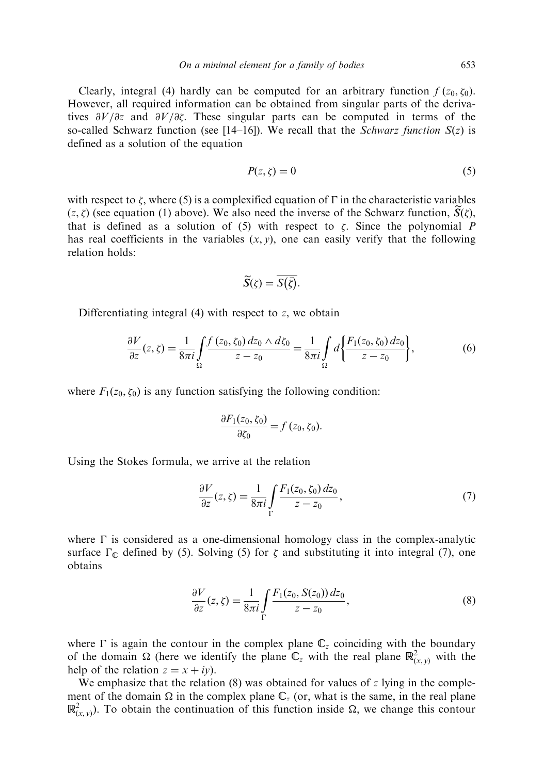Clearly, integral (4) hardly can be computed for an arbitrary function  $f(z_0, \zeta_0)$ . However, all required information can be obtained from singular parts of the derivatives  $\partial V/\partial z$  and  $\partial V/\partial \zeta$ . These singular parts can be computed in terms of the so-called Schwarz function (see [14–16]). We recall that the Schwarz function  $S(z)$  is defined as a solution of the equation

$$
P(z,\zeta) = 0\tag{5}
$$

with respect to  $\zeta$ , where (5) is a complexified equation of  $\Gamma$  in the characteristic variables  $(z, \zeta)$  (see equation (1) above). We also need the inverse of the Schwarz function,  $\overline{S}(\zeta)$ , that is defined as a solution of  $(5)$  with respect to  $\zeta$ . Since the polynomial P has real coefficients in the variables  $(x, y)$ , one can easily verify that the following relation holds:

$$
\widetilde{S}(\zeta) = \overline{S(\overline{\zeta})}.
$$

Differentiating integral  $(4)$  with respect to z, we obtain

$$
\frac{\partial V}{\partial z}(z,\zeta) = \frac{1}{8\pi i} \int_{\Omega} \frac{f(z_0,\zeta_0) dz_0 \wedge d\zeta_0}{z - z_0} = \frac{1}{8\pi i} \int_{\Omega} d \left\{ \frac{F_1(z_0,\zeta_0) dz_0}{z - z_0} \right\},\tag{6}
$$

where  $F_1(z_0, \zeta_0)$  is any function satisfying the following condition:

$$
\frac{\partial F_1(z_0,\zeta_0)}{\partial \zeta_0} = f(z_0,\zeta_0).
$$

Using the Stokes formula, we arrive at the relation

$$
\frac{\partial V}{\partial z}(z,\zeta) = \frac{1}{8\pi i} \int_{\Gamma} \frac{F_1(z_0,\zeta_0) dz_0}{z - z_0},\tag{7}
$$

where  $\Gamma$  is considered as a one-dimensional homology class in the complex-analytic surface  $\Gamma_{\mathbb{C}}$  defined by (5). Solving (5) for  $\zeta$  and substituting it into integral (7), one obtains

$$
\frac{\partial V}{\partial z}(z,\zeta) = \frac{1}{8\pi i} \int_{\Gamma} \frac{F_1(z_0, S(z_0)) dz_0}{z - z_0},\tag{8}
$$

where  $\Gamma$  is again the contour in the complex plane  $\mathbb{C}_z$  coinciding with the boundary of the domain  $\Omega$  (here we identify the plane  $\mathbb{C}_z$  with the real plane  $\mathbb{R}^2_{(x,y)}$  with the help of the relation  $z = x + iy$ .

We emphasize that the relation  $(8)$  was obtained for values of z lying in the complement of the domain  $\Omega$  in the complex plane  $\mathbb{C}_z$  (or, what is the same, in the real plane  $\mathbb{R}^2_{(x,y)}$ ). To obtain the continuation of this function inside  $\Omega$ , we change this contour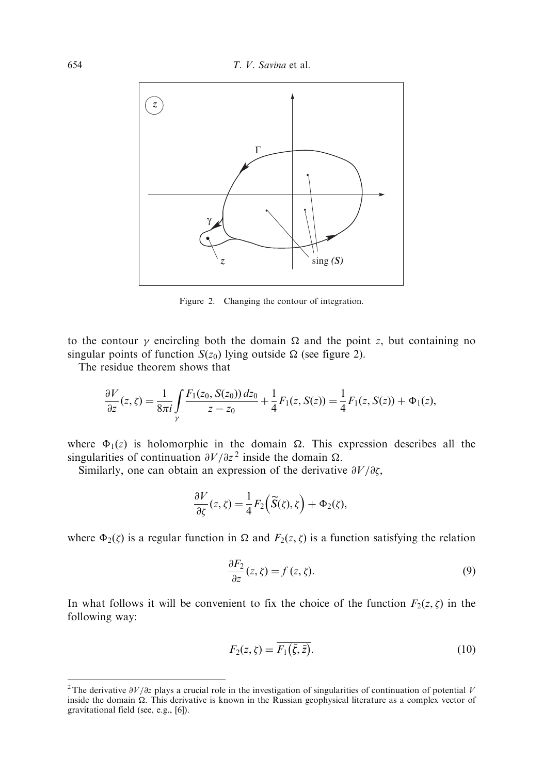

Figure 2. Changing the contour of integration.

to the contour  $\gamma$  encircling both the domain  $\Omega$  and the point z, but containing no singular points of function  $S(z_0)$  lying outside  $\Omega$  (see figure 2).

The residue theorem shows that

$$
\frac{\partial V}{\partial z}(z,\zeta) = \frac{1}{8\pi i} \int_{\gamma} \frac{F_1(z_0, S(z_0)) dz_0}{z - z_0} + \frac{1}{4} F_1(z, S(z)) = \frac{1}{4} F_1(z, S(z)) + \Phi_1(z),
$$

where  $\Phi_1(z)$  is holomorphic in the domain  $\Omega$ . This expression describes all the singularities of continuation  $\partial V/\partial z^2$  inside the domain  $\Omega$ .

Similarly, one can obtain an expression of the derivative  $\partial V/\partial \zeta$ ,

$$
\frac{\partial V}{\partial \zeta}(z,\zeta) = \frac{1}{4} F_2(\widetilde{S}(\zeta),\zeta) + \Phi_2(\zeta),
$$

where  $\Phi_2(\zeta)$  is a regular function in  $\Omega$  and  $F_2(z,\zeta)$  is a function satisfying the relation

$$
\frac{\partial F_2}{\partial z}(z,\zeta) = f(z,\zeta). \tag{9}
$$

In what follows it will be convenient to fix the choice of the function  $F_2(z, \zeta)$  in the following way:

$$
F_2(z,\zeta) = \overline{F_1(\bar{\zeta},\bar{z})}.
$$
\n(10)

<sup>&</sup>lt;sup>2</sup>The derivative  $\partial V/\partial z$  plays a crucial role in the investigation of singularities of continuation of potential V inside the domain  $\Omega$ . This derivative is known in the Russian geophysical literature as a complex vector of gravitational field (see, e.g., [6]).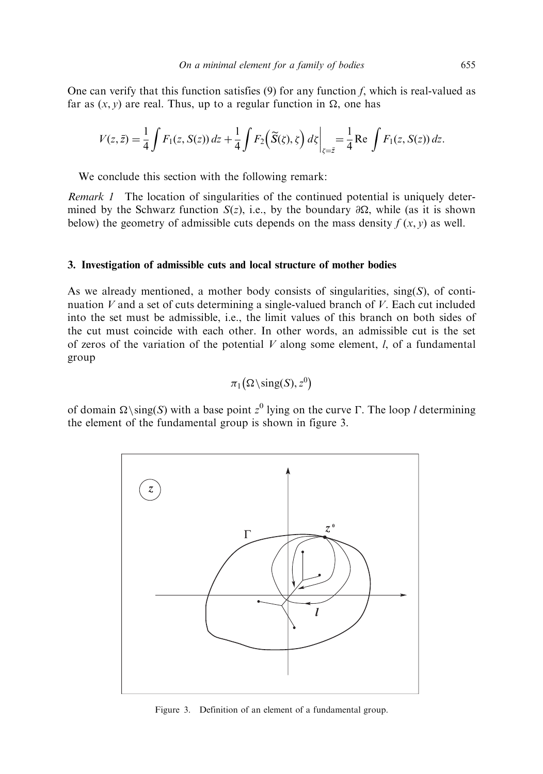One can verify that this function satisfies (9) for any function f, which is real-valued as far as  $(x, y)$  are real. Thus, up to a regular function in  $\Omega$ , one has

$$
V(z,\bar{z}) = \frac{1}{4}\int F_1(z,S(z)) dz + \frac{1}{4}\int F_2(\widetilde{S}(\zeta),\zeta) d\zeta \bigg|_{\zeta=\bar{z}} = \frac{1}{4} \text{Re} \int F_1(z,S(z)) dz.
$$

We conclude this section with the following remark:

Remark 1 The location of singularities of the continued potential is uniquely determined by the Schwarz function  $S(z)$ , i.e., by the boundary  $\partial \Omega$ , while (as it is shown below) the geometry of admissible cuts depends on the mass density  $f(x, y)$  as well.

### 3. Investigation of admissible cuts and local structure of mother bodies

As we already mentioned, a mother body consists of singularities,  $sing(S)$ , of continuation  $V$  and a set of cuts determining a single-valued branch of  $V$ . Each cut included into the set must be admissible, i.e., the limit values of this branch on both sides of the cut must coincide with each other. In other words, an admissible cut is the set of zeros of the variation of the potential  $V$  along some element,  $l$ , of a fundamental group

$$
\pi_1\big(\Omega\setminus\text{sing}(S),z^0\big)
$$

of domain  $\Omega$ \sing(S) with a base point z<sup>0</sup> lying on the curve  $\Gamma$ . The loop *l* determining the element of the fundamental group is shown in figure 3.



Figure 3. Definition of an element of a fundamental group.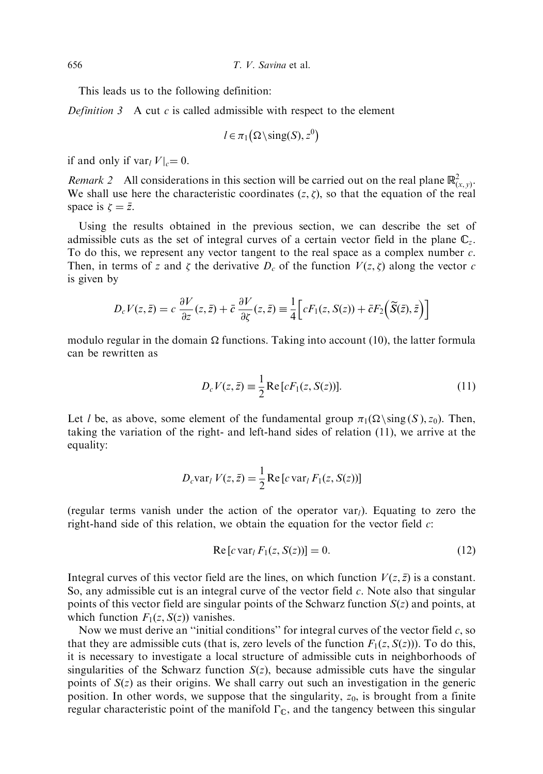This leads us to the following definition:

Definition  $3$  A cut c is called admissible with respect to the element

$$
l \in \pi_1(\Omega \setminus \text{sing}(S), z^0)
$$

if and only if  $var_l V|_c = 0$ .

*Remark 2* All considerations in this section will be carried out on the real plane  $\mathbb{R}^2_{(x,y)}$ . We shall use here the characteristic coordinates  $(z, \zeta)$ , so that the equation of the real space is  $\zeta = \bar{z}$ .

Using the results obtained in the previous section, we can describe the set of admissible cuts as the set of integral curves of a certain vector field in the plane  $\mathbb{C}_z$ . To do this, we represent any vector tangent to the real space as a complex number c. Then, in terms of z and  $\zeta$  the derivative  $D_c$  of the function  $V(z, \zeta)$  along the vector c is given by

$$
D_c V(z, \bar{z}) = c \frac{\partial V}{\partial z}(z, \bar{z}) + \bar{c} \frac{\partial V}{\partial \zeta}(z, \bar{z}) \equiv \frac{1}{4} \Big[ c F_1(z, S(z)) + \bar{c} F_2 \Big( \widetilde{S}(\bar{z}), \bar{z} \Big) \Big]
$$

modulo regular in the domain  $\Omega$  functions. Taking into account (10), the latter formula can be rewritten as

$$
D_c V(z, \bar{z}) \equiv \frac{1}{2} \operatorname{Re} \left[ c F_1(z, S(z)) \right]. \tag{11}
$$

Let l be, as above, some element of the fundamental group  $\pi_1(\Omega \setminus \text{sing}(S), z_0)$ . Then, taking the variation of the right- and left-hand sides of relation (11), we arrive at the equality:

$$
D_c \text{var}_l V(z, \bar{z}) = \frac{1}{2} \text{Re}[c \text{var}_l F_1(z, S(z))]
$$

(regular terms vanish under the action of the operator  $var_l$ ). Equating to zero the right-hand side of this relation, we obtain the equation for the vector field  $c$ :

$$
Re[c \, var_l F_1(z, S(z))] = 0. \tag{12}
$$

Integral curves of this vector field are the lines, on which function  $V(z, \overline{z})$  is a constant. So, any admissible cut is an integral curve of the vector field c. Note also that singular points of this vector field are singular points of the Schwarz function  $S(z)$  and points, at which function  $F_1(z, S(z))$  vanishes.

Now we must derive an "initial conditions" for integral curves of the vector field  $c$ , so that they are admissible cuts (that is, zero levels of the function  $F_1(z, S(z))$ ). To do this, it is necessary to investigate a local structure of admissible cuts in neighborhoods of singularities of the Schwarz function  $S(z)$ , because admissible cuts have the singular points of  $S(z)$  as their origins. We shall carry out such an investigation in the generic position. In other words, we suppose that the singularity,  $z_0$ , is brought from a finite regular characteristic point of the manifold  $\Gamma_{\mathbb{C}}$ , and the tangency between this singular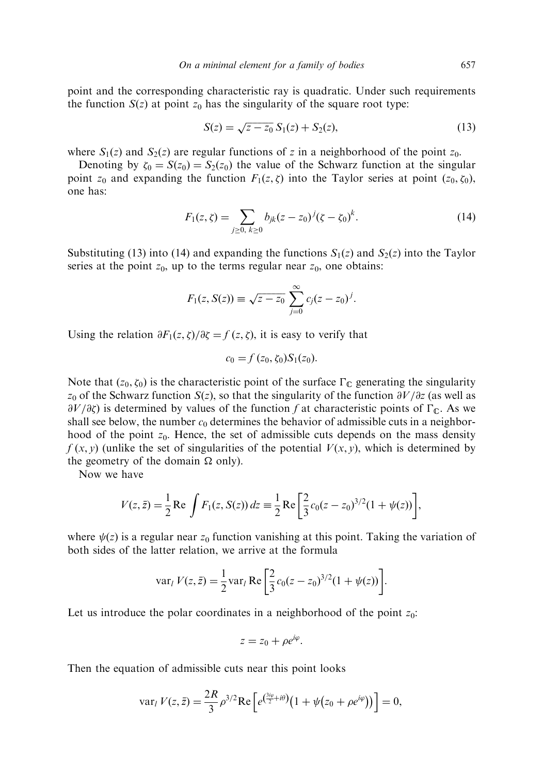point and the corresponding characteristic ray is quadratic. Under such requirements the function  $S(z)$  at point  $z_0$  has the singularity of the square root type:

$$
S(z) = \sqrt{z - z_0} S_1(z) + S_2(z), \tag{13}
$$

where  $S_1(z)$  and  $S_2(z)$  are regular functions of z in a neighborhood of the point  $z_0$ .

Denoting by  $\zeta_0 = S(z_0) = S_2(z_0)$  the value of the Schwarz function at the singular point  $z_0$  and expanding the function  $F_1(z, \zeta)$  into the Taylor series at point  $(z_0, \zeta_0)$ , one has:

$$
F_1(z,\zeta) = \sum_{j\geq 0, k\geq 0} b_{jk}(z-z_0)^j (\zeta - \zeta_0)^k.
$$
 (14)

Substituting (13) into (14) and expanding the functions  $S_1(z)$  and  $S_2(z)$  into the Taylor series at the point  $z_0$ , up to the terms regular near  $z_0$ , one obtains:

$$
F_1(z, S(z)) \equiv \sqrt{z - z_0} \sum_{j=0}^{\infty} c_j (z - z_0)^j.
$$

Using the relation  $\partial F_1(z,\zeta)/\partial \zeta = f(z,\zeta)$ , it is easy to verify that

$$
c_0 = f(z_0, \zeta_0) S_1(z_0).
$$

Note that  $(z_0, \zeta_0)$  is the characteristic point of the surface  $\Gamma_{\mathbb{C}}$  generating the singularity  $z_0$  of the Schwarz function  $S(z)$ , so that the singularity of the function  $\partial V/\partial z$  (as well as  $\partial V/\partial \zeta$ ) is determined by values of the function f at characteristic points of  $\Gamma_{\mathbb{C}}$ . As we shall see below, the number  $c_0$  determines the behavior of admissible cuts in a neighborhood of the point  $z_0$ . Hence, the set of admissible cuts depends on the mass density  $f(x, y)$  (unlike the set of singularities of the potential  $V(x, y)$ , which is determined by the geometry of the domain  $\Omega$  only).

Now we have

$$
V(z, \bar{z}) = \frac{1}{2} \text{Re} \int F_1(z, S(z)) dz = \frac{1}{2} \text{Re} \left[ \frac{2}{3} c_0 (z - z_0)^{3/2} (1 + \psi(z)) \right],
$$

where  $\psi(z)$  is a regular near  $z_0$  function vanishing at this point. Taking the variation of both sides of the latter relation, we arrive at the formula

var<sub>l</sub> 
$$
V(z, \bar{z}) = \frac{1}{2} \text{var}_{l} \text{ Re } \left[ \frac{2}{3} c_0 (z - z_0)^{3/2} (1 + \psi(z)) \right].
$$

Let us introduce the polar coordinates in a neighborhood of the point  $z_0$ :

$$
z=z_0+\rho e^{i\varphi}.
$$

Then the equation of admissible cuts near this point looks

var<sub>l</sub> 
$$
V(z, \bar{z}) = \frac{2R}{3} \rho^{3/2} \text{Re} \left[ e^{\left(\frac{3i\varphi}{2} + i\theta\right)} \left(1 + \psi(z_0 + \rho e^{i\varphi})\right) \right] = 0,
$$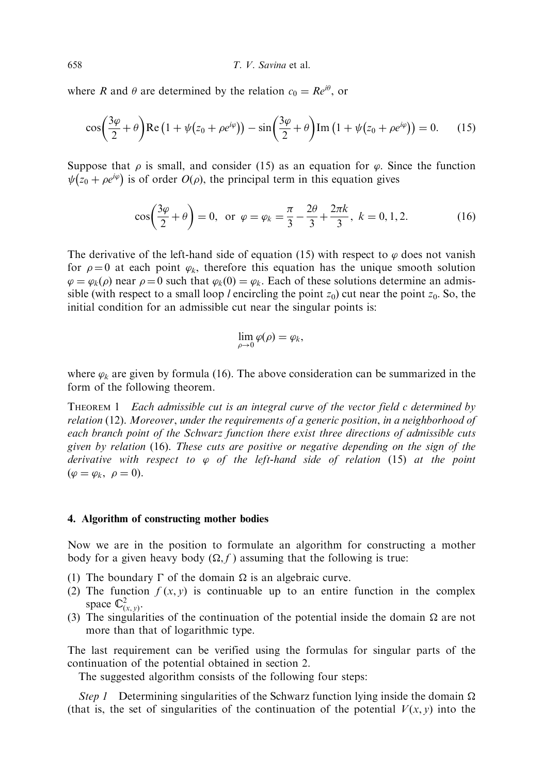where R and  $\theta$  are determined by the relation  $c_0 = Re^{i\theta}$ , or

$$
\cos\left(\frac{3\varphi}{2}+\theta\right)Re\left(1+\psi(z_0+\rho e^{i\varphi})\right)-\sin\left(\frac{3\varphi}{2}+\theta\right)Im\left(1+\psi(z_0+\rho e^{i\varphi})\right)=0.\tag{15}
$$

Suppose that  $\rho$  is small, and consider (15) as an equation for  $\varphi$ . Since the function  $\psi(z_0 + \rho e^{i\varphi})$  is of order  $O(\rho)$ , the principal term in this equation gives

$$
\cos\left(\frac{3\varphi}{2} + \theta\right) = 0, \text{ or } \varphi = \varphi_k = \frac{\pi}{3} - \frac{2\theta}{3} + \frac{2\pi k}{3}, k = 0, 1, 2.
$$
 (16)

The derivative of the left-hand side of equation (15) with respect to  $\varphi$  does not vanish for  $\rho = 0$  at each point  $\varphi_k$ , therefore this equation has the unique smooth solution  $\varphi = \varphi_k(\rho)$  near  $\rho = 0$  such that  $\varphi_k(0) = \varphi_k$ . Each of these solutions determine an admissible (with respect to a small loop l encircling the point  $z_0$ ) cut near the point  $z_0$ . So, the initial condition for an admissible cut near the singular points is:

$$
\lim_{\rho\to 0}\varphi(\rho)=\varphi_k,
$$

where  $\varphi_k$  are given by formula (16). The above consideration can be summarized in the form of the following theorem.

THEOREM 1 Each admissible cut is an integral curve of the vector field c determined by relation (12). Moreover, under the requirements of a generic position, in a neighborhood of each branch point of the Schwarz function there exist three directions of admissible cuts given by relation (16). These cuts are positive or negative depending on the sign of the derivative with respect to  $\varphi$  of the left-hand side of relation (15) at the point  $(\varphi = \varphi_k, \ \rho = 0).$ 

# 4. Algorithm of constructing mother bodies

Now we are in the position to formulate an algorithm for constructing a mother body for a given heavy body  $(\Omega, f)$  assuming that the following is true:

- (1) The boundary  $\Gamma$  of the domain  $\Omega$  is an algebraic curve.
- (2) The function  $f(x, y)$  is continuable up to an entire function in the complex space  $\mathbb{C}^2_{(x, y)}$ .
- (3) The singularities of the continuation of the potential inside the domain  $\Omega$  are not more than that of logarithmic type.

The last requirement can be verified using the formulas for singular parts of the continuation of the potential obtained in section 2.

The suggested algorithm consists of the following four steps:

Step 1 Determining singularities of the Schwarz function lying inside the domain  $\Omega$ (that is, the set of singularities of the continuation of the potential  $V(x, y)$  into the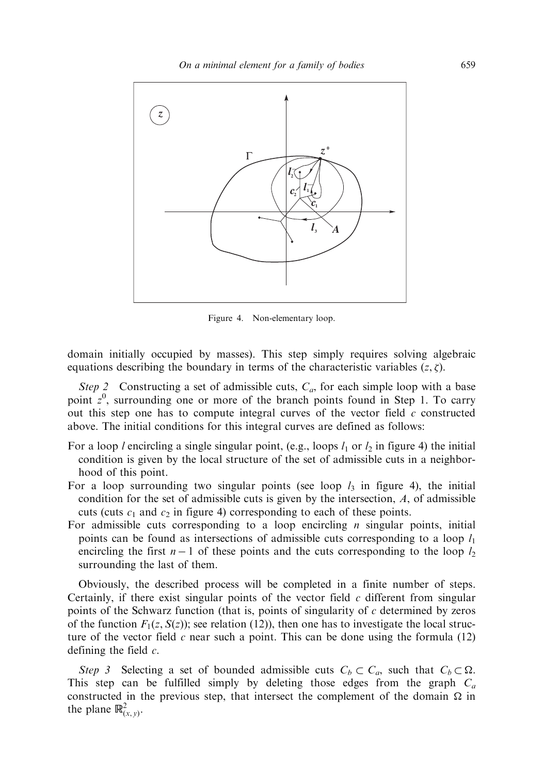

Figure 4. Non-elementary loop.

domain initially occupied by masses). This step simply requires solving algebraic equations describing the boundary in terms of the characteristic variables  $(z, \zeta)$ .

Step 2 Constructing a set of admissible cuts,  $C_a$ , for each simple loop with a base point  $z<sup>0</sup>$ , surrounding one or more of the branch points found in Step 1. To carry out this step one has to compute integral curves of the vector field c constructed above. The initial conditions for this integral curves are defined as follows:

- For a loop l encircling a single singular point, (e.g., loops  $l_1$  or  $l_2$  in figure 4) the initial condition is given by the local structure of the set of admissible cuts in a neighborhood of this point.
- For a loop surrounding two singular points (see loop  $l_3$  in figure 4), the initial condition for the set of admissible cuts is given by the intersection,  $A$ , of admissible cuts (cuts  $c_1$  and  $c_2$  in figure 4) corresponding to each of these points.
- For admissible cuts corresponding to a loop encircling  $n$  singular points, initial points can be found as intersections of admissible cuts corresponding to a loop  $l_1$ encircling the first  $n-1$  of these points and the cuts corresponding to the loop  $l_2$ surrounding the last of them.

Obviously, the described process will be completed in a finite number of steps. Certainly, if there exist singular points of the vector field  $c$  different from singular points of the Schwarz function (that is, points of singularity of  $c$  determined by zeros of the function  $F_1(z, S(z))$ ; see relation (12)), then one has to investigate the local structure of the vector field c near such a point. This can be done using the formula (12) defining the field  $c$ .

Step 3 Selecting a set of bounded admissible cuts  $C_b \subset C_a$ , such that  $C_b \subset \Omega$ . This step can be fulfilled simply by deleting those edges from the graph  $C_a$ constructed in the previous step, that intersect the complement of the domain  $\Omega$  in the plane  $\mathbb{R}^2_{(x, y)}$ .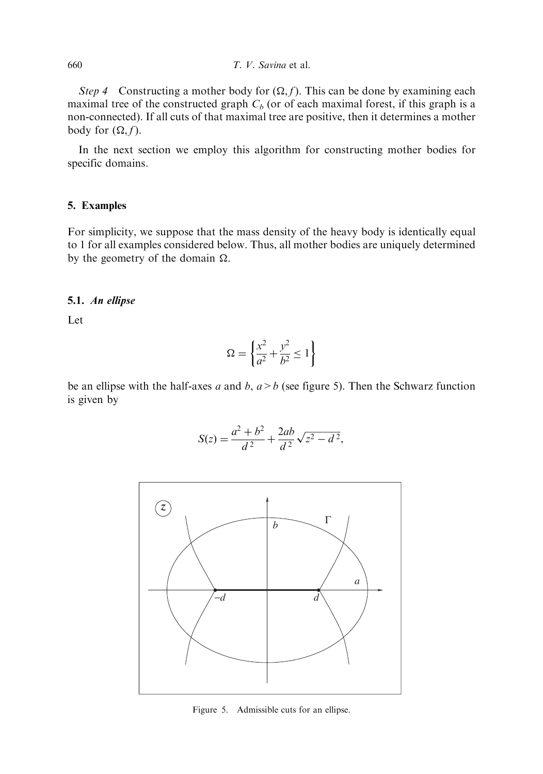Step 4 Constructing a mother body for  $(\Omega, f)$ . This can be done by examining each maximal tree of the constructed graph  $C_b$  (or of each maximal forest, if this graph is a non-connected). If all cuts of that maximal tree are positive, then it determines a mother body for  $(\Omega, f)$ .

In the next section we employ this algorithm for constructing mother bodies for specific domains.

# 5. Examples

For simplicity, we suppose that the mass density of the heavy body is identically equal to 1 for all examples considered below. Thus, all mother bodies are uniquely determined by the geometry of the domain  $\Omega$ .

#### 5.1. An ellipse

Let

$$
\Omega = \left\{ \frac{x^2}{a^2} + \frac{y^2}{b^2} \le 1 \right\}
$$

be an ellipse with the half-axes a and b,  $a > b$  (see figure 5). Then the Schwarz function is given by

$$
S(z) = \frac{a^2 + b^2}{d^2} + \frac{2ab}{d^2} \sqrt{z^2 - d^2},
$$



Figure 5. Admissible cuts for an ellipse.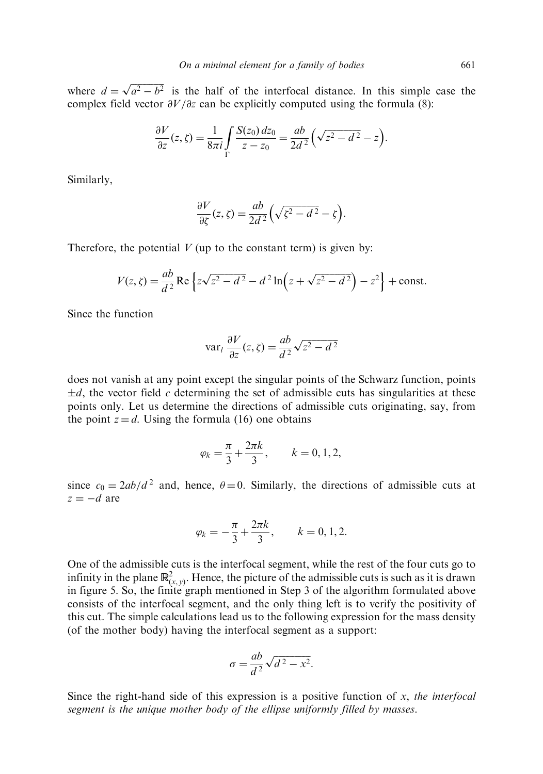where  $d = \sqrt{a^2 - b^2}$  is the half of the interfocal distance. In this simple case the complex field vector  $\partial V/\partial z$  can be explicitly computed using the formula (8):

$$
\frac{\partial V}{\partial z}(z,\zeta) = \frac{1}{8\pi i} \int_{\Gamma} \frac{S(z_0) \, dz_0}{z - z_0} = \frac{ab}{2d^2} \left( \sqrt{z^2 - d^2} - z \right).
$$

Similarly,

$$
\frac{\partial V}{\partial \zeta}(z,\zeta) = \frac{ab}{2d^2} \left( \sqrt{\zeta^2 - d^2} - \zeta \right).
$$

Therefore, the potential  $V$  (up to the constant term) is given by:

$$
V(z, \zeta) = \frac{ab}{d^2} \text{Re} \left\{ z \sqrt{z^2 - d^2} - d^2 \ln \left( z + \sqrt{z^2 - d^2} \right) - z^2 \right\} + \text{const.}
$$

Since the function

$$
\text{var}_l \frac{\partial V}{\partial z}(z,\zeta) = \frac{ab}{d^2} \sqrt{z^2 - d^2}
$$

does not vanish at any point except the singular points of the Schwarz function, points  $\pm d$ , the vector field c determining the set of admissible cuts has singularities at these points only. Let us determine the directions of admissible cuts originating, say, from the point  $z = d$ . Using the formula (16) one obtains

$$
\varphi_k = \frac{\pi}{3} + \frac{2\pi k}{3}, \qquad k = 0, 1, 2,
$$

since  $c_0 = 2ab/d^2$  and, hence,  $\theta = 0$ . Similarly, the directions of admissible cuts at  $z = -d$  are

$$
\varphi_k = -\frac{\pi}{3} + \frac{2\pi k}{3}, \qquad k = 0, 1, 2.
$$

One of the admissible cuts is the interfocal segment, while the rest of the four cuts go to infinity in the plane  $\mathbb{R}^2_{(x,y)}$ . Hence, the picture of the admissible cuts is such as it is drawn in figure 5. So, the finite graph mentioned in Step 3 of the algorithm formulated above consists of the interfocal segment, and the only thing left is to verify the positivity of this cut. The simple calculations lead us to the following expression for the mass density (of the mother body) having the interfocal segment as a support:

$$
\sigma = \frac{ab}{d^2} \sqrt{d^2 - x^2}.
$$

Since the right-hand side of this expression is a positive function of x, the interfocal segment is the unique mother body of the ellipse uniformly filled by masses.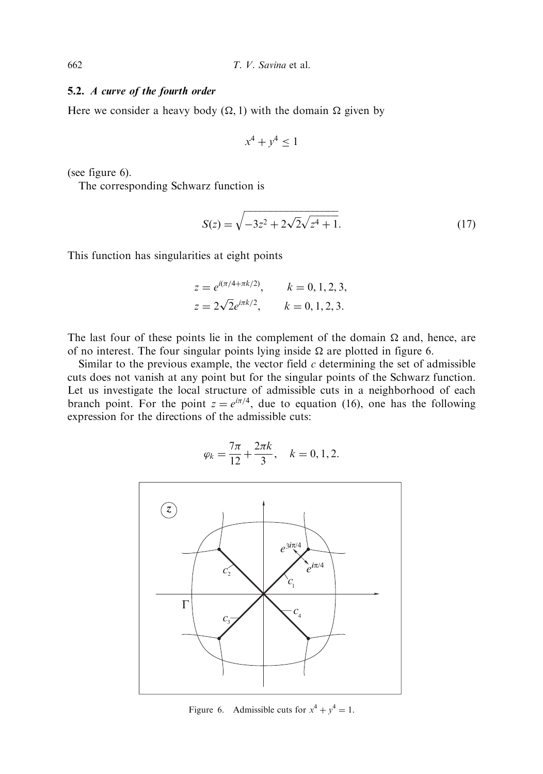# 5.2. A curve of the fourth order

Here we consider a heavy body  $(\Omega, 1)$  with the domain  $\Omega$  given by

$$
x^4 + y^4 \le 1
$$

(see figure 6).

The corresponding Schwarz function is

$$
S(z) = \sqrt{-3z^2 + 2\sqrt{2}\sqrt{z^4 + 1}}.
$$
 (17)

This function has singularities at eight points

$$
z = e^{i(\pi/4 + \pi k/2)}
$$
,  $k = 0, 1, 2, 3$ ,  
\n $z = 2\sqrt{2}e^{i\pi k/2}$ ,  $k = 0, 1, 2, 3$ .

The last four of these points lie in the complement of the domain  $\Omega$  and, hence, are of no interest. The four singular points lying inside  $\Omega$  are plotted in figure 6.

Similar to the previous example, the vector field  $c$  determining the set of admissible cuts does not vanish at any point but for the singular points of the Schwarz function. Let us investigate the local structure of admissible cuts in a neighborhood of each branch point. For the point  $z = e^{i\pi/4}$ , due to equation (16), one has the following expression for the directions of the admissible cuts:

$$
\varphi_k = \frac{7\pi}{12} + \frac{2\pi k}{3}, \quad k = 0, 1, 2.
$$



Figure 6. Admissible cuts for  $x^4 + y^4 = 1$ .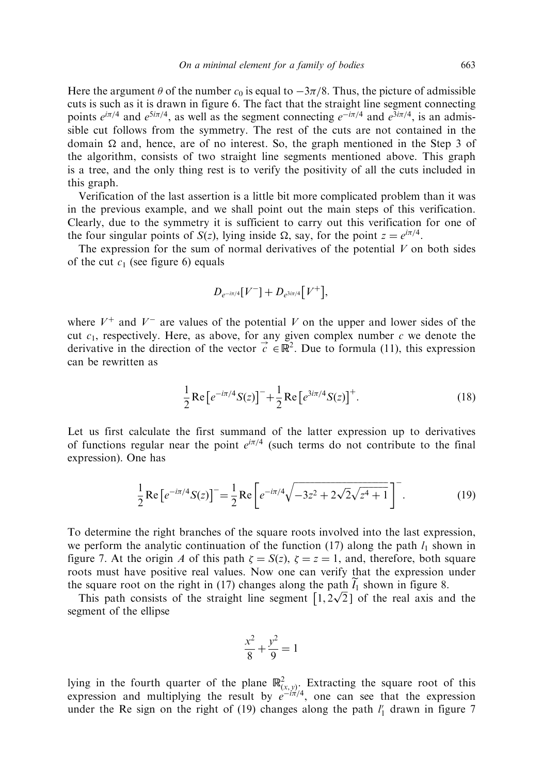Here the argument  $\theta$  of the number  $c_0$  is equal to  $-3\pi/8$ . Thus, the picture of admissible cuts is such as it is drawn in figure 6. The fact that the straight line segment connecting points  $e^{i\pi/4}$  and  $e^{5i\pi/4}$ , as well as the segment connecting  $e^{-i\pi/4}$  and  $e^{3i\pi/4}$ , is an admissible cut follows from the symmetry. The rest of the cuts are not contained in the domain  $\Omega$  and, hence, are of no interest. So, the graph mentioned in the Step 3 of the algorithm, consists of two straight line segments mentioned above. This graph is a tree, and the only thing rest is to verify the positivity of all the cuts included in this graph.

Verification of the last assertion is a little bit more complicated problem than it was in the previous example, and we shall point out the main steps of this verification. Clearly, due to the symmetry it is sufficient to carry out this verification for one of the four singular points of  $S(z)$ , lying inside  $\Omega$ , say, for the point  $z = e^{i\pi/4}$ .

The expression for the sum of normal derivatives of the potential  $V$  on both sides of the cut  $c_1$  (see figure 6) equals

$$
D_{e^{-i\pi/4}}[V^-] + D_{e^{3i\pi/4}}[V^+],
$$

where  $V^+$  and  $V^-$  are values of the potential V on the upper and lower sides of the cut  $c_1$ , respectively. Here, as above, for any given complex number c we denote the derivative in the direction of the vector  $\vec{c} \in \mathbb{R}^2$ . Due to formula (11), this expression can be rewritten as

$$
\frac{1}{2}\operatorname{Re}\left[e^{-i\pi/4}S(z)\right]^{-} + \frac{1}{2}\operatorname{Re}\left[e^{3i\pi/4}S(z)\right]^{+}.
$$
\n(18)

Let us first calculate the first summand of the latter expression up to derivatives of functions regular near the point  $e^{i\pi/4}$  (such terms do not contribute to the final expression). One has

$$
\frac{1}{2} \text{Re} \left[ e^{-i\pi/4} S(z) \right]^{-} = \frac{1}{2} \text{Re} \left[ e^{-i\pi/4} \sqrt{-3z^2 + 2\sqrt{2}\sqrt{z^4 + 1}} \right]^{-}.
$$
 (19)

To determine the right branches of the square roots involved into the last expression, we perform the analytic continuation of the function (17) along the path  $l_1$  shown in figure 7. At the origin A of this path  $\zeta = S(z)$ ,  $\zeta = z = 1$ , and, therefore, both square roots must have positive real values. Now one can verify that the expression under the square root on the right in (17) changes along the path  $l_1$  shown in figure 8.

Exercise is equare root on the right in (17) changes along the path  $t_1$  shown in figure 8.<br>This path consists of the straight line segment  $[1, 2\sqrt{2}]$  of the real axis and the segment of the ellipse

$$
\frac{x^2}{8} + \frac{y^2}{9} = 1
$$

lying in the fourth quarter of the plane  $\mathbb{R}^2_{(x,y)}$ . Extracting the square root of this expression and multiplying the result by  $e^{-i\pi/4}$ , one can see that the expression under the Re sign on the right of (19) changes along the path  $l'_1$  drawn in figure 7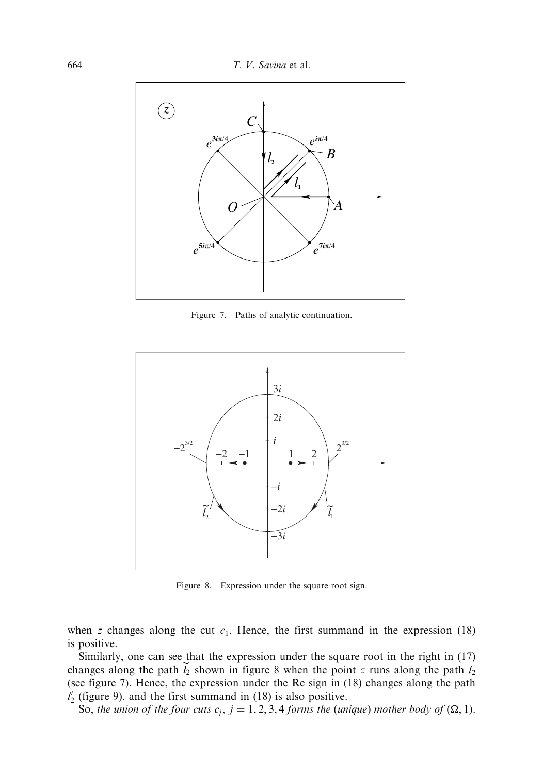

Figure 7. Paths of analytic continuation.



Figure 8. Expression under the square root sign.

when z changes along the cut  $c_1$ . Hence, the first summand in the expression (18) is positive.

Similarly, one can see that the expression under the square root in the right in (17) changes along the path  $\tilde{l}_2$  shown in figure 8 when the point z runs along the path  $l_2$ (see figure 7). Hence, the expression under the Re sign in (18) changes along the path  $l'_2$  (figure 9), and the first summand in (18) is also positive.

So, the union of the four cuts  $c_j$ ,  $j = 1, 2, 3, 4$  forms the (unique) mother body of  $(\Omega, 1)$ .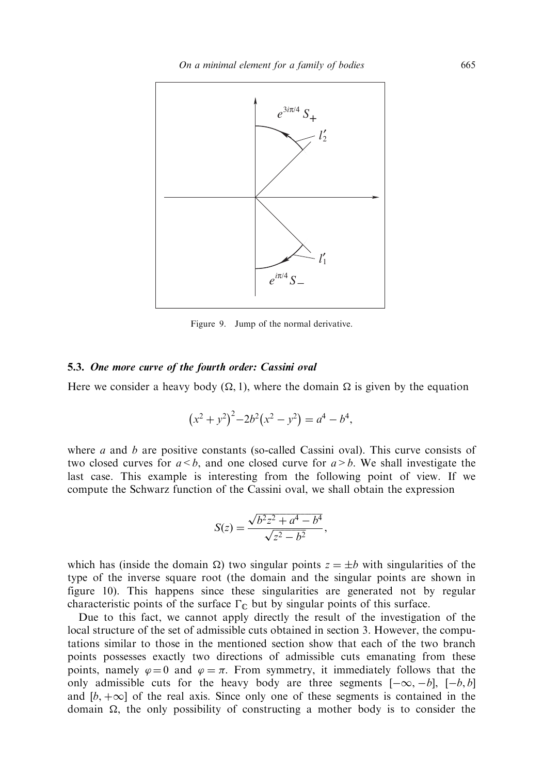

Figure 9. Jump of the normal derivative.

# 5.3. One more curve of the fourth order: Cassini oval

Here we consider a heavy body  $(\Omega, 1)$ , where the domain  $\Omega$  is given by the equation

$$
(x2 + y2)2-2b2(x2 – y2) = a4 – b4,
$$

where  $a$  and  $b$  are positive constants (so-called Cassini oval). This curve consists of two closed curves for  $a < b$ , and one closed curve for  $a > b$ . We shall investigate the last case. This example is interesting from the following point of view. If we compute the Schwarz function of the Cassini oval, we shall obtain the expression

$$
S(z) = \frac{\sqrt{b^2 z^2 + a^4 - b^4}}{\sqrt{z^2 - b^2}},
$$

which has (inside the domain  $\Omega$ ) two singular points  $z = \pm b$  with singularities of the type of the inverse square root (the domain and the singular points are shown in figure 10). This happens since these singularities are generated not by regular characteristic points of the surface  $\Gamma_{\mathbb{C}}$  but by singular points of this surface.

Due to this fact, we cannot apply directly the result of the investigation of the local structure of the set of admissible cuts obtained in section 3. However, the computations similar to those in the mentioned section show that each of the two branch points possesses exactly two directions of admissible cuts emanating from these points, namely  $\varphi = 0$  and  $\varphi = \pi$ . From symmetry, it immediately follows that the only admissible cuts for the heavy body are three segments  $[-\infty, -b]$ ,  $[-b, b]$ and  $[b, +\infty]$  of the real axis. Since only one of these segments is contained in the domain  $\Omega$ , the only possibility of constructing a mother body is to consider the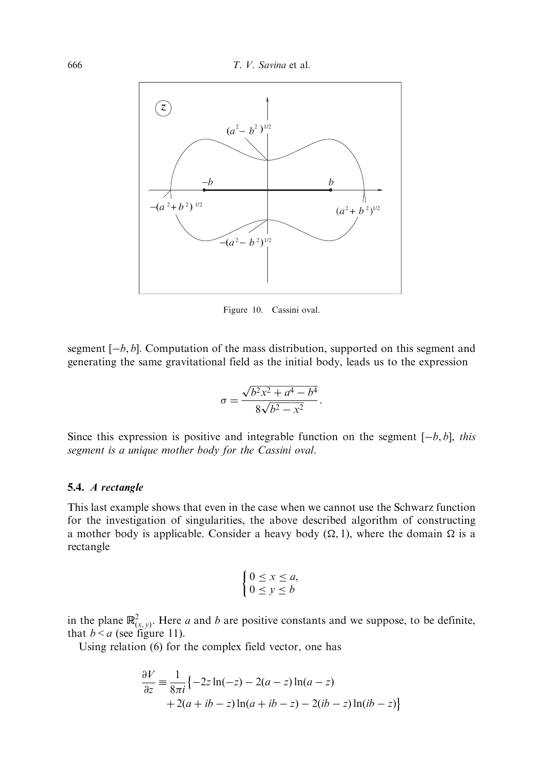

Figure 10. Cassini oval.

segment  $[-b, b]$ . Computation of the mass distribution, supported on this segment and generating the same gravitational field as the initial body, leads us to the expression

$$
\sigma = \frac{\sqrt{b^2x^2 + a^4 - b^4}}{8\sqrt{b^2 - x^2}}.
$$

Since this expression is positive and integrable function on the segment  $[-b, b]$ , this segment is a unique mother body for the Cassini oval.

#### 5.4. A rectangle

This last example shows that even in the case when we cannot use the Schwarz function for the investigation of singularities, the above described algorithm of constructing a mother body is applicable. Consider a heavy body  $(\Omega, 1)$ , where the domain  $\Omega$  is a rectangle

$$
\begin{cases} 0 \le x \le a, \\ 0 \le y \le b \end{cases}
$$

in the plane  $\mathbb{R}^2_{(x,y)}$ . Here a and b are positive constants and we suppose, to be definite, that  $b \le a$  (see figure 11).

Using relation (6) for the complex field vector, one has

$$
\frac{\partial V}{\partial z} = \frac{1}{8\pi i} \{-2z \ln(-z) - 2(a-z) \ln(a-z) + 2(a+ib-z) \ln(a+ib-z) - 2(ib-z) \ln(ib-z) \ln(b-z) \}
$$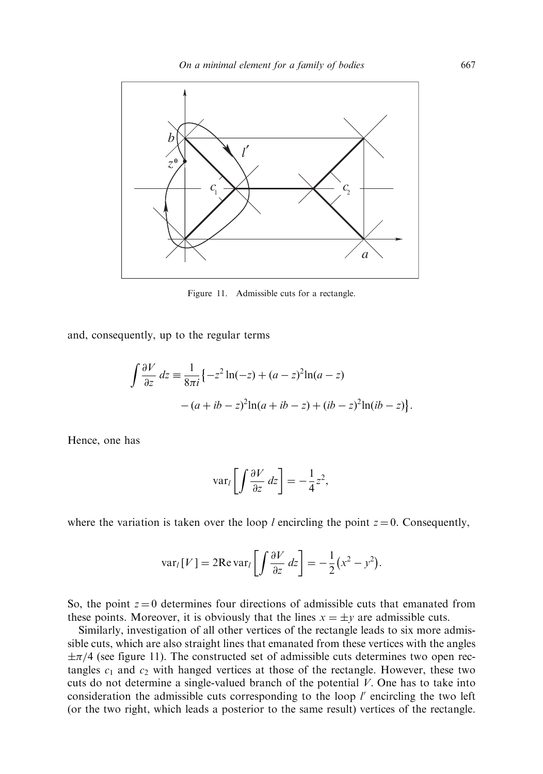

Figure 11. Admissible cuts for a rectangle.

and, consequently, up to the regular terms

$$
\int \frac{\partial V}{\partial z} dz = \frac{1}{8\pi i} \{-z^2 \ln(-z) + (a-z)^2 \ln(a-z) - (a+ib-z)^2 \ln(a+ib-z) + (ib-z)^2 \ln(ib-z) \}.
$$

Hence, one has

$$
\text{var}_l \left[ \int \frac{\partial V}{\partial z} \, dz \right] = -\frac{1}{4} z^2,
$$

where the variation is taken over the loop *l* encircling the point  $z = 0$ . Consequently,

$$
\text{var}_{l}[V] = 2\text{Re}\,\text{var}_{l}\left[\int \frac{\partial V}{\partial z} \, dz\right] = -\frac{1}{2}(x^2 - y^2).
$$

So, the point  $z = 0$  determines four directions of admissible cuts that emanated from these points. Moreover, it is obviously that the lines  $x = \pm y$  are admissible cuts.

Similarly, investigation of all other vertices of the rectangle leads to six more admissible cuts, which are also straight lines that emanated from these vertices with the angles  $\pm \pi/4$  (see figure 11). The constructed set of admissible cuts determines two open rectangles  $c_1$  and  $c_2$  with hanged vertices at those of the rectangle. However, these two cuts do not determine a single-valued branch of the potential  $V$ . One has to take into consideration the admissible cuts corresponding to the loop  $l'$  encircling the two left (or the two right, which leads a posterior to the same result) vertices of the rectangle.